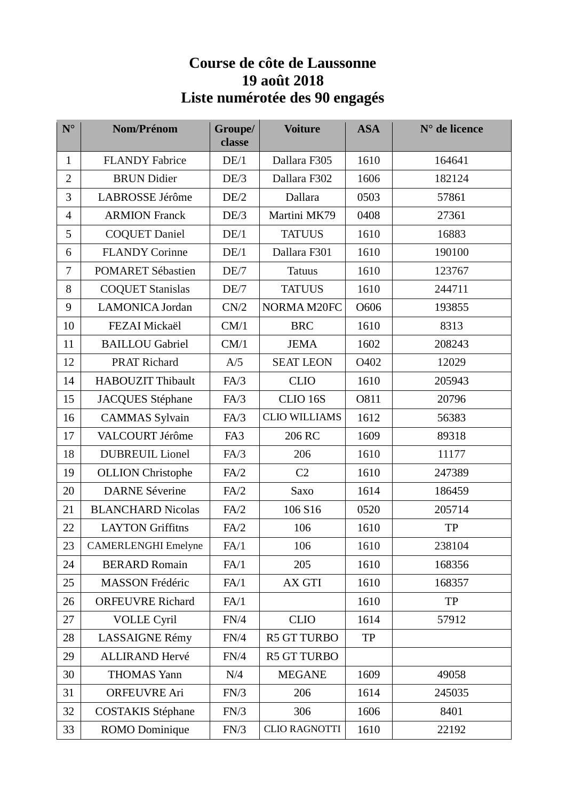## **Course de côte de Laussonne 19 août 2018 Liste numérotée des 90 engagés**

| $N^{\circ}$    | Nom/Prénom                 | Groupe/<br>classe | <b>Voiture</b>       | <b>ASA</b> | $N°$ de licence |
|----------------|----------------------------|-------------------|----------------------|------------|-----------------|
| 1              | <b>FLANDY Fabrice</b>      | DE/1              | Dallara F305         | 1610       | 164641          |
| $\overline{2}$ | <b>BRUN</b> Didier         | DE/3              | Dallara F302         | 1606       | 182124          |
| 3              | LABROSSE Jérôme            | DE/2              | Dallara              | 0503       | 57861           |
| $\overline{4}$ | <b>ARMION Franck</b>       | DE/3              | Martini MK79         | 0408       | 27361           |
| 5              | <b>COQUET Daniel</b>       | DE/1              | <b>TATUUS</b>        | 1610       | 16883           |
| 6              | <b>FLANDY Corinne</b>      | DE/1              | Dallara F301         | 1610       | 190100          |
| 7              | <b>POMARET Sébastien</b>   | DE/7              | <b>Tatuus</b>        | 1610       | 123767          |
| 8              | <b>COQUET Stanislas</b>    | DE/7              | <b>TATUUS</b>        | 1610       | 244711          |
| 9              | <b>LAMONICA Jordan</b>     | CN/2              | NORMA M20FC          | O606       | 193855          |
| 10             | FEZAI Mickaël              | CM/1              | <b>BRC</b>           | 1610       | 8313            |
| 11             | <b>BAILLOU</b> Gabriel     | CM/1              | <b>JEMA</b>          | 1602       | 208243          |
| 12             | PRAT Richard               | A/5               | <b>SEAT LEON</b>     | O402       | 12029           |
| 14             | <b>HABOUZIT Thibault</b>   | FA/3              | <b>CLIO</b>          | 1610       | 205943          |
| 15             | <b>JACQUES</b> Stéphane    | FA/3              | CLIO 16S             | O811       | 20796           |
| 16             | <b>CAMMAS</b> Sylvain      | FA/3              | <b>CLIO WILLIAMS</b> | 1612       | 56383           |
| 17             | VALCOURT Jérôme            | FA3               | 206 RC               | 1609       | 89318           |
| 18             | <b>DUBREUIL Lionel</b>     | FA/3              | 206                  | 1610       | 11177           |
| 19             | <b>OLLION</b> Christophe   | FA/2              | C <sub>2</sub>       | 1610       | 247389          |
| 20             | <b>DARNE Séverine</b>      | FA/2              | Saxo                 | 1614       | 186459          |
| 21             | <b>BLANCHARD Nicolas</b>   | FA/2              | 106 S16              | 0520       | 205714          |
| 22             | <b>LAYTON Griffitns</b>    | FA/2              | 106                  | 1610       | TP              |
| 23             | <b>CAMERLENGHI Emelyne</b> | FA/1              | 106                  | 1610       | 238104          |
| 24             | <b>BERARD Romain</b>       | FA/1              | 205                  | 1610       | 168356          |
| 25             | <b>MASSON Frédéric</b>     | FA/1              | AX GTI               | 1610       | 168357          |
| 26             | <b>ORFEUVRE Richard</b>    | FA/1              |                      | 1610       | TP              |
| 27             | <b>VOLLE Cyril</b>         | FN/4              | <b>CLIO</b>          | 1614       | 57912           |
| 28             | LASSAIGNE Rémy             | FN/4              | <b>R5 GT TURBO</b>   | TP         |                 |
| 29             | <b>ALLIRAND Hervé</b>      | FN/4              | <b>R5 GT TURBO</b>   |            |                 |
| 30             | <b>THOMAS Yann</b>         | N/4               | <b>MEGANE</b>        | 1609       | 49058           |
| 31             | <b>ORFEUVRE Ari</b>        | FN/3              | 206                  | 1614       | 245035          |
| 32             | <b>COSTAKIS Stéphane</b>   | FN/3              | 306                  | 1606       | 8401            |
| 33             | ROMO Dominique             | FN/3              | <b>CLIO RAGNOTTI</b> | 1610       | 22192           |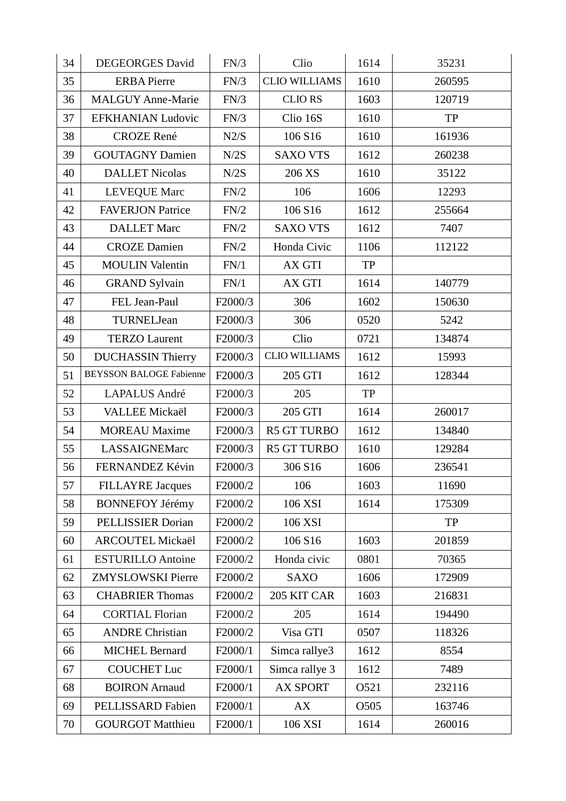| 34 | <b>DEGEORGES David</b>         | FN/3    | Clio                 | 1614 | 35231     |
|----|--------------------------------|---------|----------------------|------|-----------|
| 35 | <b>ERBA</b> Pierre             | FN/3    | <b>CLIO WILLIAMS</b> | 1610 | 260595    |
| 36 | <b>MALGUY Anne-Marie</b>       | FN/3    | <b>CLIORS</b>        | 1603 | 120719    |
| 37 | EFKHANIAN Ludovic              | FN/3    | Clio 16S             | 1610 | TP        |
| 38 | <b>CROZE</b> René              | N2/S    | 106 S16              | 1610 | 161936    |
| 39 | <b>GOUTAGNY Damien</b>         | N/2S    | <b>SAXO VTS</b>      | 1612 | 260238    |
| 40 | <b>DALLET Nicolas</b>          | N/2S    | 206 XS               | 1610 | 35122     |
| 41 | <b>LEVEQUE Marc</b>            | FN/2    | 106                  | 1606 | 12293     |
| 42 | <b>FAVERJON Patrice</b>        | FN/2    | 106 S16              | 1612 | 255664    |
| 43 | <b>DALLET</b> Marc             | FN/2    | <b>SAXO VTS</b>      | 1612 | 7407      |
| 44 | <b>CROZE Damien</b>            | FN/2    | Honda Civic          | 1106 | 112122    |
| 45 | <b>MOULIN Valentin</b>         | FN/1    | AX GTI               | TP   |           |
| 46 | <b>GRAND Sylvain</b>           | FN/1    | AX GTI               | 1614 | 140779    |
| 47 | FEL Jean-Paul                  | F2000/3 | 306                  | 1602 | 150630    |
| 48 | TURNELJean                     | F2000/3 | 306                  | 0520 | 5242      |
| 49 | <b>TERZO Laurent</b>           | F2000/3 | Clio                 | 0721 | 134874    |
| 50 | <b>DUCHASSIN Thierry</b>       | F2000/3 | <b>CLIO WILLIAMS</b> | 1612 | 15993     |
| 51 | <b>BEYSSON BALOGE Fabienne</b> | F2000/3 | 205 GTI              | 1612 | 128344    |
| 52 | <b>LAPALUS André</b>           | F2000/3 | 205                  | TP   |           |
| 53 | VALLEE Mickaël                 | F2000/3 | 205 GTI              | 1614 | 260017    |
| 54 | <b>MOREAU</b> Maxime           | F2000/3 | <b>R5 GT TURBO</b>   | 1612 | 134840    |
| 55 | LASSAIGNEMarc                  | F2000/3 | <b>R5 GT TURBO</b>   | 1610 | 129284    |
| 56 | FERNANDEZ Kévin                | F2000/3 | 306 S16              | 1606 | 236541    |
| 57 | <b>FILLAYRE Jacques</b>        | F2000/2 | 106                  | 1603 | 11690     |
| 58 | <b>BONNEFOY Jérémy</b>         | F2000/2 | 106 XSI              | 1614 | 175309    |
| 59 | PELLISSIER Dorian              | F2000/2 | 106 XSI              |      | <b>TP</b> |
| 60 | <b>ARCOUTEL Mickaël</b>        | F2000/2 | 106 S16              | 1603 | 201859    |
| 61 | <b>ESTURILLO Antoine</b>       | F2000/2 | Honda civic          | 0801 | 70365     |
| 62 | <b>ZMYSLOWSKI Pierre</b>       | F2000/2 | <b>SAXO</b>          | 1606 | 172909    |
| 63 | <b>CHABRIER Thomas</b>         | F2000/2 | 205 KIT CAR          | 1603 | 216831    |
| 64 | <b>CORTIAL Florian</b>         | F2000/2 | 205                  | 1614 | 194490    |
| 65 | <b>ANDRE Christian</b>         | F2000/2 | Visa GTI             | 0507 | 118326    |
| 66 | <b>MICHEL Bernard</b>          | F2000/1 | Simca rallye3        | 1612 | 8554      |
| 67 | <b>COUCHET Luc</b>             | F2000/1 | Simca rallye 3       | 1612 | 7489      |
| 68 | <b>BOIRON</b> Arnaud           | F2000/1 | <b>AX SPORT</b>      | O521 | 232116    |
| 69 | PELLISSARD Fabien              | F2000/1 | AX                   | O505 | 163746    |
| 70 | <b>GOURGOT Matthieu</b>        | F2000/1 | 106 XSI              | 1614 | 260016    |